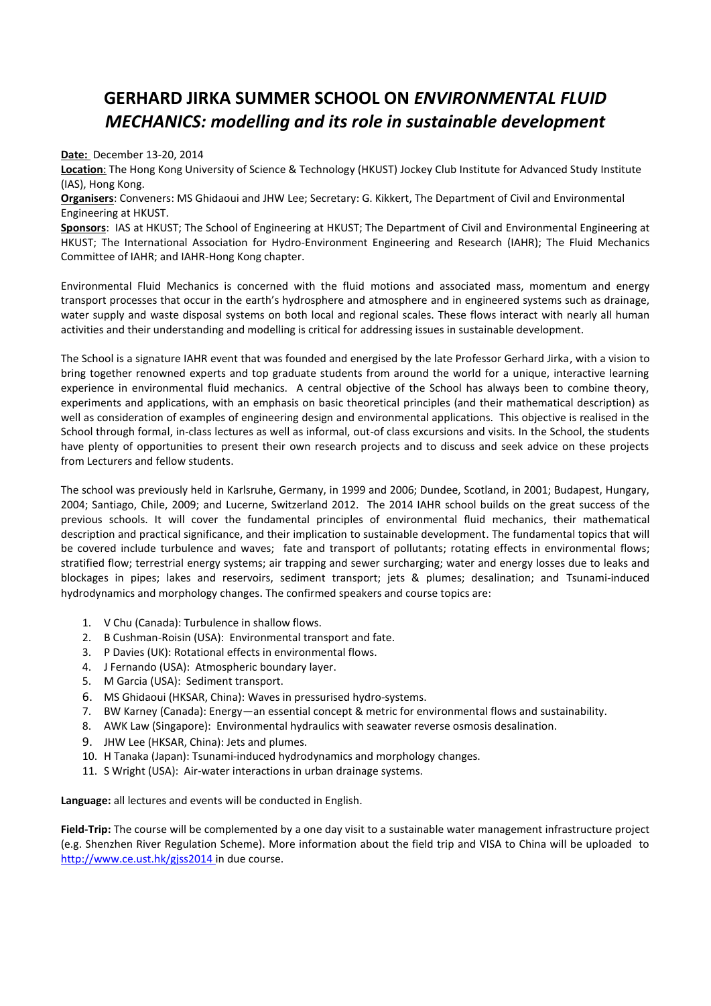## **GERHARD JIRKA SUMMER SCHOOL ON** *ENVIRONMENTAL FLUID MECHANICS: modelling and its role in sustainable development*

**Date:** December 13-20, 2014

**Location**: The Hong Kong University of Science & Technology (HKUST) Jockey Club Institute for Advanced Study Institute (IAS), Hong Kong.

**Organisers**: Conveners: MS Ghidaoui and JHW Lee; Secretary: G. Kikkert, The Department of Civil and Environmental Engineering at HKUST.

**Sponsors**: IAS at HKUST; The School of Engineering at HKUST; The Department of Civil and Environmental Engineering at HKUST; The International Association for Hydro-Environment Engineering and Research (IAHR); The Fluid Mechanics Committee of IAHR; and IAHR-Hong Kong chapter.

Environmental Fluid Mechanics is concerned with the fluid motions and associated mass, momentum and energy transport processes that occur in the earth's hydrosphere and atmosphere and in engineered systems such as drainage, water supply and waste disposal systems on both local and regional scales. These flows interact with nearly all human activities and their understanding and modelling is critical for addressing issues in sustainable development.

The School is a signature IAHR event that was founded and energised by the late Professor Gerhard Jirka, with a vision to bring together renowned experts and top graduate students from around the world for a unique, interactive learning experience in environmental fluid mechanics. A central objective of the School has always been to combine theory, experiments and applications, with an emphasis on basic theoretical principles (and their mathematical description) as well as consideration of examples of engineering design and environmental applications. This objective is realised in the School through formal, in-class lectures as well as informal, out-of class excursions and visits. In the School, the students have plenty of opportunities to present their own research projects and to discuss and seek advice on these projects from Lecturers and fellow students.

The school was previously held in Karlsruhe, Germany, in 1999 and 2006; Dundee, Scotland, in 2001; Budapest, Hungary, 2004; Santiago, Chile, 2009; and Lucerne, Switzerland 2012. The 2014 IAHR school builds on the great success of the previous schools. It will cover the fundamental principles of environmental fluid mechanics, their mathematical description and practical significance, and their implication to sustainable development. The fundamental topics that will be covered include turbulence and waves; fate and transport of pollutants; rotating effects in environmental flows; stratified flow; terrestrial energy systems; air trapping and sewer surcharging; water and energy losses due to leaks and blockages in pipes; lakes and reservoirs, sediment transport; jets & plumes; desalination; and Tsunami-induced hydrodynamics and morphology changes. The confirmed speakers and course topics are:

- 1. V Chu (Canada): Turbulence in shallow flows.
- 2. B Cushman-Roisin (USA): Environmental transport and fate.
- 3. P Davies (UK): Rotational effects in environmental flows.
- 4. J Fernando (USA): Atmospheric boundary layer.
- 5. M Garcia (USA): Sediment transport.
- 6. MS Ghidaoui (HKSAR, China): Waves in pressurised hydro-systems.
- 7. BW Karney (Canada): Energy—an essential concept & metric for environmental flows and sustainability.
- 8. AWK Law (Singapore): Environmental hydraulics with seawater reverse osmosis desalination.
- 9. JHW Lee (HKSAR, China): Jets and plumes.
- 10. H Tanaka (Japan): Tsunami-induced hydrodynamics and morphology changes.
- 11. S Wright (USA): Air-water interactions in urban drainage systems.

**Language:** all lectures and events will be conducted in English.

**Field-Trip:** The course will be complemented by a one day visit to a sustainable water management infrastructure project (e.g. Shenzhen River Regulation Scheme). More information about the field trip and VISA to China will be uploaded to <http://www.ce.ust.hk/gjss2014> in due course.